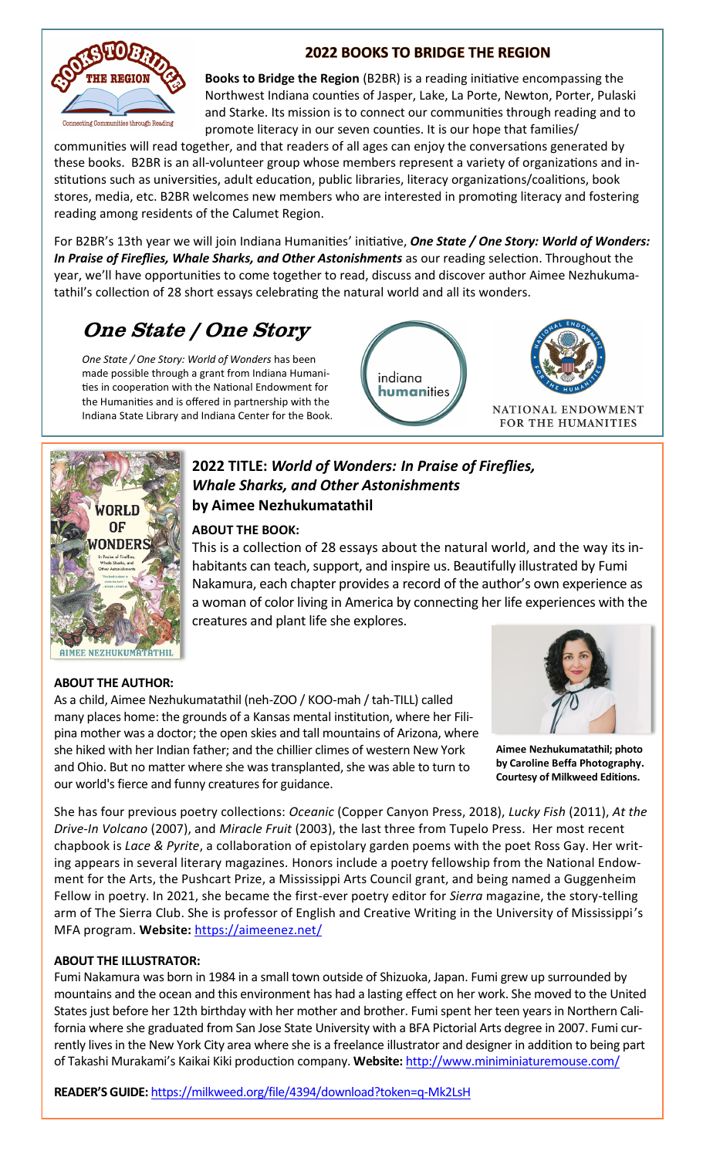

### **2022 BOOKS TO BRIDGE THE REGION**

**Books to Bridge the Region** (B2BR) is a reading initiative encompassing the Northwest Indiana counties of Jasper, Lake, La Porte, Newton, Porter, Pulaski and Starke. Its mission is to connect our communities through reading and to promote literacy in our seven counties. It is our hope that families/

communities will read together, and that readers of all ages can enjoy the conversations generated by these books. B2BR is an all-volunteer group whose members represent a variety of organizations and institutions such as universities, adult education, public libraries, literacy organizations/coalitions, book stores, media, etc. B2BR welcomes new members who are interested in promoting literacy and fostering reading among residents of the Calumet Region.

For B2BR's 13th year we will join Indiana Humanities' initiative, *One State / One Story: World of Wonders: In Praise of Fireflies, Whale Sharks, and Other Astonishments* as our reading selection. Throughout the year, we'll have opportunities to come together to read, discuss and discover author Aimee Nezhukumatathil's collection of 28 short essays celebrating the natural world and all its wonders.

# One State / One Story

*One State / One Story: World of Wonders* has been made possible through a grant from Indiana Humanities in cooperation with the National Endowment for the Humanities and is offered in partnership with the Indiana State Library and Indiana Center for the Book.





## **2022 TITLE:** *World of Wonders: In Praise of Fireflies, Whale Sharks, and Other Astonishments* **by Aimee Nezhukumatathil**

#### **ABOUT THE BOOK:**

This is a collection of 28 essays about the natural world, and the way its inhabitants can teach, support, and inspire us. Beautifully illustrated by Fumi Nakamura, each chapter provides a record of the author's own experience as a woman of color living in America by connecting her life experiences with the creatures and plant life she explores.

#### **ABOUT THE AUTHOR:**

As a child, Aimee Nezhukumatathil (neh-ZOO / KOO-mah / tah-TILL) called many places home: the grounds of a Kansas mental institution, where her Filipina mother was a doctor; the open skies and tall mountains of Arizona, where she hiked with her Indian father; and the chillier climes of western New York and Ohio. But no matter where she was transplanted, she was able to turn to our world's fierce and funny creatures for guidance.



**Aimee Nezhukumatathil; photo by Caroline Beffa Photography. Courtesy of Milkweed Editions.**

She has four previous poetry collections: *Oceanic* (Copper Canyon Press, 2018), *Lucky Fish* (2011), *At the Drive-In Volcano* (2007), and *Miracle Fruit* (2003), the last three from Tupelo Press. Her most recent chapbook is *Lace & Pyrite*, a collaboration of epistolary garden poems with the poet Ross Gay. Her writing appears in several literary magazines*.* Honors include a poetry fellowship from the National Endowment for the Arts, the Pushcart Prize, a Mississippi Arts Council grant, and being named a Guggenheim Fellow in poetry. In 2021, she became the first-ever poetry editor for *Sierra* magazine, the story-telling arm of The Sierra Club. She is professor of English and Creative Writing in the University of Mississippi's MFA program. **Website:** https://aimeenez.net/

#### **ABOUT THE ILLUSTRATOR:**

Fumi Nakamura was born in 1984 in a small town outside of Shizuoka, Japan. Fumi grew up surrounded by mountains and the ocean and this environment has had a lasting effect on her work. She moved to the United States just before her 12th birthday with her mother and brother. Fumi spent her teen years in Northern California where she graduated from San Jose State University with a BFA Pictorial Arts degree in 2007. Fumi currently lives in the New York City area where she is a freelance illustrator and designer in addition to being part of Takashi Murakami's Kaikai Kiki production company. **Website:** http://www.miniminiaturemouse.com/

**READER'S GUIDE:** https://milkweed.org/file/4394/download?token=q-Mk2LsH